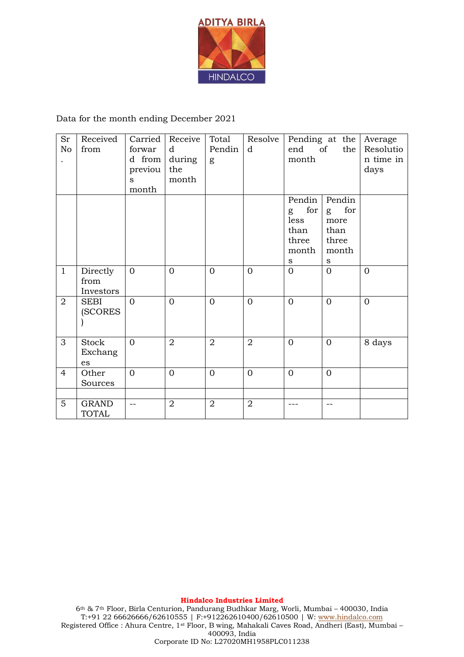

## Data for the month ending December 2021

| Sr<br>No       | Received<br>from              | Carried<br>forwar                          | Receive<br>$\mathbf d$ | Total<br>Pendin | Resolve<br>d   | Pending at the Average<br>the  <br>end<br><sub>of</sub><br>month |                                                           | Resolutio         |
|----------------|-------------------------------|--------------------------------------------|------------------------|-----------------|----------------|------------------------------------------------------------------|-----------------------------------------------------------|-------------------|
| $\bullet$      |                               | d from<br>previou<br>$\mathbf{s}$<br>month | during<br>the<br>month | g               |                |                                                                  |                                                           | n time in<br>days |
|                |                               |                                            |                        |                 |                | Pendin<br>for<br>g<br>less<br>than<br>three<br>month<br>S        | Pendin<br>for<br>g<br>more<br>than<br>three<br>month<br>S |                   |
| $\mathbf{1}$   | Directly<br>from<br>Investors | $\overline{0}$                             | $\overline{0}$         | $\overline{0}$  | $\overline{0}$ | $\overline{0}$                                                   | $\overline{0}$                                            | $\overline{0}$    |
| $\overline{2}$ | <b>SEBI</b><br><b>(SCORES</b> | $\Omega$                                   | $\overline{0}$         | $\Omega$        | $\overline{0}$ | $\overline{0}$                                                   | $\overline{0}$                                            | $\overline{0}$    |
| 3              | Stock<br>Exchang<br>es        | $\Omega$                                   | $\overline{2}$         | $\overline{2}$  | $\overline{2}$ | $\overline{0}$                                                   | $\overline{0}$                                            | 8 days            |
| $\overline{4}$ | Other<br>Sources              | $\overline{0}$                             | $\overline{0}$         | $\Omega$        | $\overline{0}$ | $\overline{0}$                                                   | $\overline{0}$                                            |                   |
| 5              | <b>GRAND</b><br><b>TOTAL</b>  | $-$                                        | $\overline{2}$         | $\overline{2}$  | $\overline{2}$ |                                                                  | $- -$                                                     |                   |

**Hindalco Industries Limited**

6th & 7th Floor, Birla Centurion, Pandurang Budhkar Marg, Worli, Mumbai – 400030, India T:+91 22 66626666/62610555 | F:+912262610400/62610500 | W: [www.hindalco.com](http://www.hindalco.com/) Registered Office : Ahura Centre, 1st Floor, B wing, Mahakali Caves Road, Andheri (East), Mumbai – 400093, India Corporate ID No: L27020MH1958PLC011238